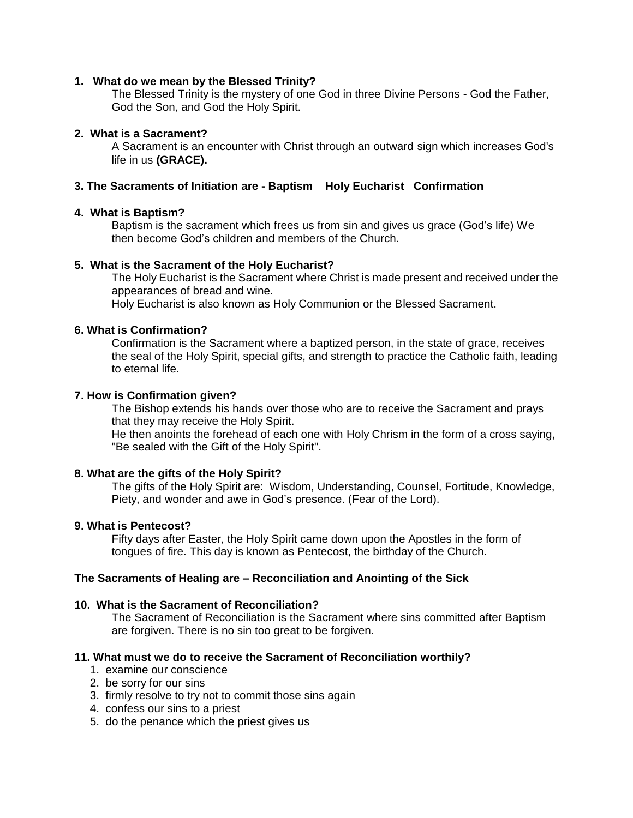### **1. What do we mean by the Blessed Trinity?**

The Blessed Trinity is the mystery of one God in three Divine Persons - God the Father, God the Son, and God the Holy Spirit.

### **2. What is a Sacrament?**

A Sacrament is an encounter with Christ through an outward sign which increases God's life in us **(GRACE).**

## **3. The Sacraments of Initiation are - Baptism Holy Eucharist Confirmation**

### **4. What is Baptism?**

Baptism is the sacrament which frees us from sin and gives us grace (God's life) We then become God's children and members of the Church.

### **5. What is the Sacrament of the Holy Eucharist?**

The Holy Eucharist is the Sacrament where Christ is made present and received under the appearances of bread and wine.

Holy Eucharist is also known as Holy Communion or the Blessed Sacrament.

### **6. What is Confirmation?**

Confirmation is the Sacrament where a baptized person, in the state of grace, receives the seal of the Holy Spirit, special gifts, and strength to practice the Catholic faith, leading to eternal life.

#### **7. How is Confirmation given?**

The Bishop extends his hands over those who are to receive the Sacrament and prays that they may receive the Holy Spirit.

He then anoints the forehead of each one with Holy Chrism in the form of a cross saying, "Be sealed with the Gift of the Holy Spirit".

## **8. What are the gifts of the Holy Spirit?**

The gifts of the Holy Spirit are: Wisdom, Understanding, Counsel, Fortitude, Knowledge, Piety, and wonder and awe in God's presence. (Fear of the Lord).

#### **9. What is Pentecost?**

Fifty days after Easter, the Holy Spirit came down upon the Apostles in the form of tongues of fire. This day is known as Pentecost, the birthday of the Church.

#### **The Sacraments of Healing are – Reconciliation and Anointing of the Sick**

#### **10. What is the Sacrament of Reconciliation?**

The Sacrament of Reconciliation is the Sacrament where sins committed after Baptism are forgiven. There is no sin too great to be forgiven.

#### **11. What must we do to receive the Sacrament of Reconciliation worthily?**

- 1. examine our conscience
- 2. be sorry for our sins
- 3. firmly resolve to try not to commit those sins again
- 4. confess our sins to a priest
- 5. do the penance which the priest gives us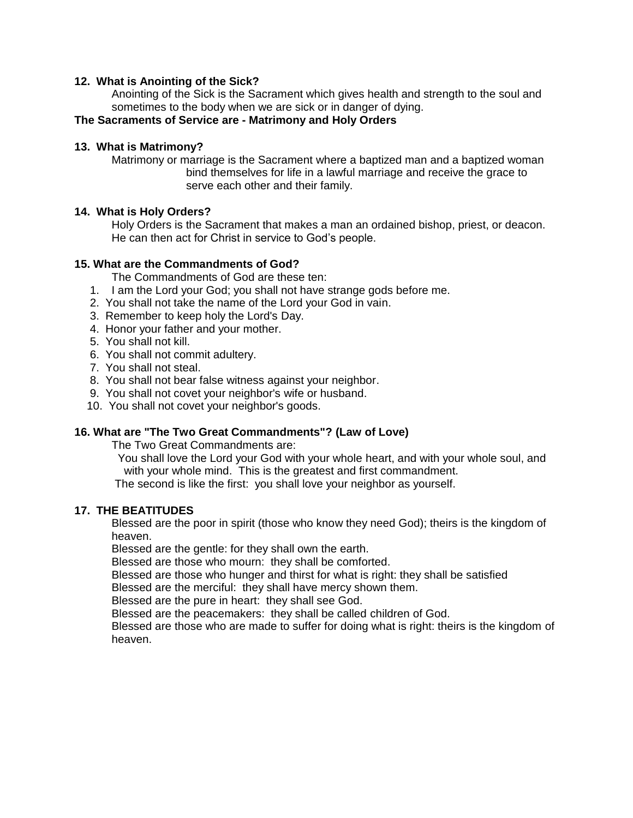### **12. What is Anointing of the Sick?**

Anointing of the Sick is the Sacrament which gives health and strength to the soul and sometimes to the body when we are sick or in danger of dying.

# **The Sacraments of Service are - Matrimony and Holy Orders**

### **13. What is Matrimony?**

Matrimony or marriage is the Sacrament where a baptized man and a baptized woman bind themselves for life in a lawful marriage and receive the grace to serve each other and their family.

### **14. What is Holy Orders?**

Holy Orders is the Sacrament that makes a man an ordained bishop, priest, or deacon. He can then act for Christ in service to God's people.

### **15. What are the Commandments of God?**

The Commandments of God are these ten:

- 1. I am the Lord your God; you shall not have strange gods before me.
- 2. You shall not take the name of the Lord your God in vain.
- 3. Remember to keep holy the Lord's Day.
- 4. Honor your father and your mother.
- 5. You shall not kill.
- 6. You shall not commit adultery.
- 7. You shall not steal.
- 8. You shall not bear false witness against your neighbor.
- 9. You shall not covet your neighbor's wife or husband.
- 10. You shall not covet your neighbor's goods.

## **16. What are "The Two Great Commandments"? (Law of Love)**

The Two Great Commandments are:

 You shall love the Lord your God with your whole heart, and with your whole soul, and with your whole mind. This is the greatest and first commandment.

The second is like the first: you shall love your neighbor as yourself.

#### **17. THE BEATITUDES**

Blessed are the poor in spirit (those who know they need God); theirs is the kingdom of heaven.

Blessed are the gentle: for they shall own the earth.

Blessed are those who mourn: they shall be comforted.

Blessed are those who hunger and thirst for what is right: they shall be satisfied

Blessed are the merciful: they shall have mercy shown them.

Blessed are the pure in heart: they shall see God.

Blessed are the peacemakers: they shall be called children of God.

Blessed are those who are made to suffer for doing what is right: theirs is the kingdom of heaven.